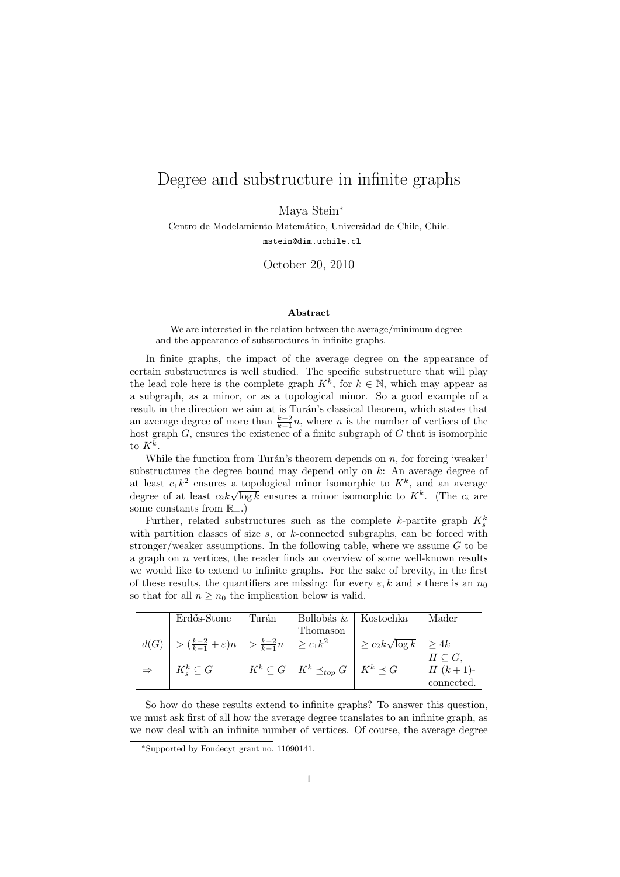## Degree and substructure in infinite graphs

Maya Stein<sup>∗</sup>

Centro de Modelamiento Matemático, Universidad de Chile, Chile. mstein@dim.uchile.cl

October 20, 2010

## Abstract

We are interested in the relation between the average/minimum degree and the appearance of substructures in infinite graphs.

In finite graphs, the impact of the average degree on the appearance of certain substructures is well studied. The specific substructure that will play the lead role here is the complete graph  $K^k$ , for  $k \in \mathbb{N}$ , which may appear as a subgraph, as a minor, or as a topological minor. So a good example of a result in the direction we aim at is Turán's classical theorem, which states that an average degree of more than  $\frac{k-2}{k-1}n$ , where n is the number of vertices of the host graph  $G$ , ensures the existence of a finite subgraph of  $G$  that is isomorphic to  $K^k$ .

While the function from Turán's theorem depends on  $n$ , for forcing 'weaker' substructures the degree bound may depend only on  $k$ : An average degree of at least  $c_1 k^2$  ensures a topological minor isomorphic to  $K^k$ , and an average degree of at least  $c_2 k \sqrt{\log k}$  ensures a minor isomorphic to  $K^k$ . (The  $c_i$  are some constants from  $\mathbb{R}_+$ .

Further, related substructures such as the complete k-partite graph  $K_s^k$ with partition classes of size  $s$ , or  $k$ -connected subgraphs, can be forced with stronger/weaker assumptions. In the following table, where we assume  $G$  to be a graph on  $n$  vertices, the reader finds an overview of some well-known results we would like to extend to infinite graphs. For the sake of brevity, in the first of these results, the quantifiers are missing: for every  $\varepsilon, k$  and s there is an  $n_0$ so that for all  $n \geq n_0$  the implication below is valid.

|               | Erdős-Stone                                                                          | Turán | Bollobás &   Kostochka                                        |                            | Mader            |
|---------------|--------------------------------------------------------------------------------------|-------|---------------------------------------------------------------|----------------------------|------------------|
|               |                                                                                      |       | Thomason                                                      |                            |                  |
|               | $> (\frac{k-2}{k-1} + \varepsilon)n \ \Big  > \frac{k-2}{k-1}n \ \Big  \geq c_1 k^2$ |       |                                                               | $\geq c_2 k \sqrt{\log k}$ | $\vert > 4k$     |
|               |                                                                                      |       |                                                               |                            | $H\subseteq G$ , |
| $\Rightarrow$ | $K_s^k \subseteq G$                                                                  |       | $K^k \subseteq G \mid K^k \preceq_{top} G \mid K^k \preceq G$ |                            | $H (k+1)$ -      |
|               |                                                                                      |       |                                                               |                            | connected.       |

So how do these results extend to infinite graphs? To answer this question, we must ask first of all how the average degree translates to an infinite graph, as we now deal with an infinite number of vertices. Of course, the average degree

<sup>∗</sup>Supported by Fondecyt grant no. 11090141.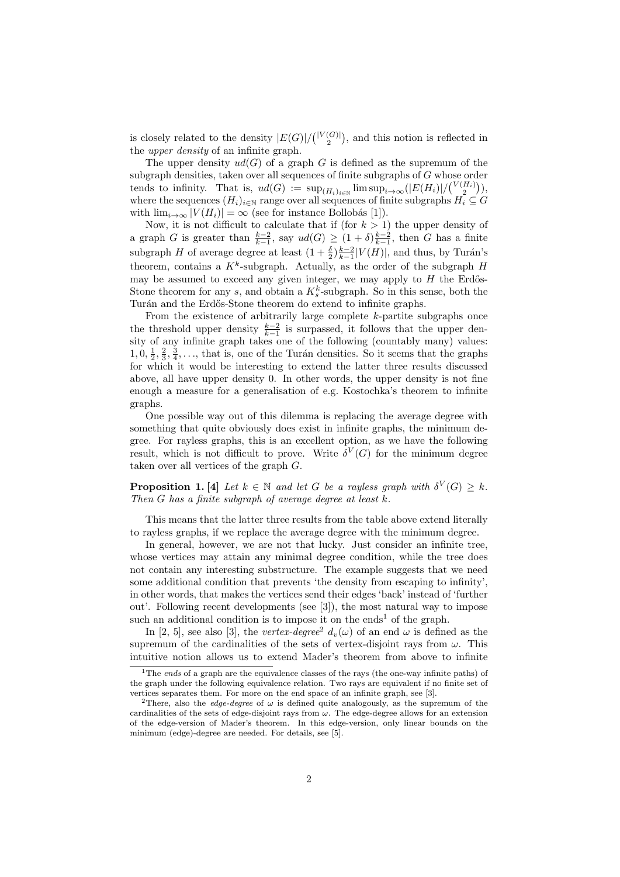is closely related to the density  $|E(G)|/ { |V(G)| \choose 2}$ , and this notion is reflected in the upper density of an infinite graph.

The upper density  $ud(G)$  of a graph G is defined as the supremum of the subgraph densities, taken over all sequences of finite subgraphs of G whose order tends to infinity. That is,  $ud(G) := \sup_{(H_i)_{i \in \mathbb{N}}} \limsup_{i \to \infty} (|E(H_i)| / {V(H_i) \choose 2}),$ where the sequences  $(H_i)_{i\in\mathbb{N}}$  range over all sequences of finite subgraphs  $H_i\subseteq G$ with  $\lim_{i\to\infty} |V(H_i)| = \infty$  (see for instance Bollobás [1]).

Now, it is not difficult to calculate that if (for  $k > 1$ ) the upper density of a graph G is greater than  $\frac{k-2}{k-1}$ , say  $ud(G) \geq (1+\delta)\frac{k-2}{k-1}$ , then G has a finite subgraph H of average degree at least  $(1 + \frac{\delta}{2})\frac{k-2}{k-1}|V(H)|$ , and thus, by Turán's theorem, contains a  $K^k$ -subgraph. Actually, as the order of the subgraph  $H$ may be assumed to exceed any given integer, we may apply to  $H$  the Erdős-Stone theorem for any s, and obtain a  $K_s^k$ -subgraph. So in this sense, both the Turán and the Erdős-Stone theorem do extend to infinite graphs.

From the existence of arbitrarily large complete  $k$ -partite subgraphs once the threshold upper density  $\frac{k-2}{k-1}$  is surpassed, it follows that the upper density of any infinite graph takes one of the following (countably many) values:  $1, 0, \frac{1}{2}, \frac{2}{3}, \frac{3}{4}, \ldots$ , that is, one of the Turán densities. So it seems that the graphs for which it would be interesting to extend the latter three results discussed above, all have upper density 0. In other words, the upper density is not fine enough a measure for a generalisation of e.g. Kostochka's theorem to infinite graphs.

One possible way out of this dilemma is replacing the average degree with something that quite obviously does exist in infinite graphs, the minimum degree. For rayless graphs, this is an excellent option, as we have the following result, which is not difficult to prove. Write  $\delta^V(G)$  for the minimum degree taken over all vertices of the graph G.

**Proposition 1.** [4] Let  $k \in \mathbb{N}$  and let G be a rayless graph with  $\delta^V(G) \geq k$ . Then  $G$  has a finite subgraph of average degree at least  $k$ .

This means that the latter three results from the table above extend literally to rayless graphs, if we replace the average degree with the minimum degree.

In general, however, we are not that lucky. Just consider an infinite tree, whose vertices may attain any minimal degree condition, while the tree does not contain any interesting substructure. The example suggests that we need some additional condition that prevents 'the density from escaping to infinity', in other words, that makes the vertices send their edges 'back' instead of 'further out'. Following recent developments (see [3]), the most natural way to impose such an additional condition is to impose it on the ends<sup>1</sup> of the graph.

In [2, 5], see also [3], the vertex-degree<sup>2</sup>  $d_v(\omega)$  of an end  $\omega$  is defined as the supremum of the cardinalities of the sets of vertex-disjoint rays from  $\omega$ . This intuitive notion allows us to extend Mader's theorem from above to infinite

<sup>&</sup>lt;sup>1</sup>The ends of a graph are the equivalence classes of the rays (the one-way infinite paths) of the graph under the following equivalence relation. Two rays are equivalent if no finite set of vertices separates them. For more on the end space of an infinite graph, see [3].

<sup>&</sup>lt;sup>2</sup>There, also the *edge-degree* of  $\omega$  is defined quite analogously, as the supremum of the cardinalities of the sets of edge-disjoint rays from  $\omega$ . The edge-degree allows for an extension of the edge-version of Mader's theorem. In this edge-version, only linear bounds on the minimum (edge)-degree are needed. For details, see [5].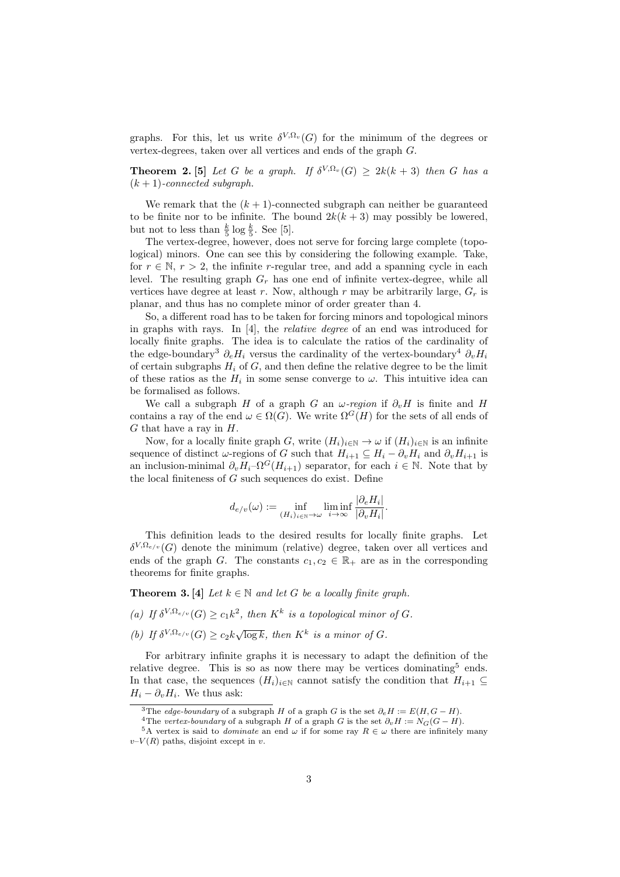graphs. For this, let us write  $\delta^{V,\Omega_v}(G)$  for the minimum of the degrees or vertex-degrees, taken over all vertices and ends of the graph G.

**Theorem 2.** [5] Let G be a graph. If  $\delta^{V,\Omega_v}(G) \geq 2k(k+3)$  then G has a  $(k + 1)$ -connected subgraph.

We remark that the  $(k + 1)$ -connected subgraph can neither be guaranteed to be finite nor to be infinite. The bound  $2k(k+3)$  may possibly be lowered, but not to less than  $\frac{k}{5} \log \frac{k}{5}$ . See [5].

The vertex-degree, however, does not serve for forcing large complete (topological) minors. One can see this by considering the following example. Take, for  $r \in \mathbb{N}, r > 2$ , the infinite r-regular tree, and add a spanning cycle in each level. The resulting graph  $G_r$  has one end of infinite vertex-degree, while all vertices have degree at least r. Now, although r may be arbitrarily large,  $G_r$  is planar, and thus has no complete minor of order greater than 4.

So, a different road has to be taken for forcing minors and topological minors in graphs with rays. In [4], the relative degree of an end was introduced for locally finite graphs. The idea is to calculate the ratios of the cardinality of the edge-boundary<sup>3</sup>  $\partial_e H_i$  versus the cardinality of the vertex-boundary<sup>4</sup>  $\partial_v H_i$ of certain subgraphs  $H_i$  of  $G$ , and then define the relative degree to be the limit of these ratios as the  $H_i$  in some sense converge to  $\omega$ . This intuitive idea can be formalised as follows.

We call a subgraph H of a graph G an  $\omega$ -region if  $\partial_{\nu}H$  is finite and H contains a ray of the end  $\omega \in \Omega(G)$ . We write  $\Omega^G(H)$  for the sets of all ends of  $G$  that have a ray in  $H$ .

Now, for a locally finite graph G, write  $(H_i)_{i\in\mathbb{N}} \to \omega$  if  $(H_i)_{i\in\mathbb{N}}$  is an infinite sequence of distinct  $\omega$ -regions of G such that  $H_{i+1} \subseteq H_i - \partial_v H_i$  and  $\partial_v H_{i+1}$  is an inclusion-minimal  $\partial_v H_i$ - $\Omega^G(H_{i+1})$  separator, for each  $i \in \mathbb{N}$ . Note that by the local finiteness of  $G$  such sequences do exist. Define

$$
d_{e/v}(\omega) := \inf_{(H_i)_{i \in \mathbb{N}} \to \omega} \liminf_{i \to \infty} \frac{|\partial_e H_i|}{|\partial_v H_i|}.
$$

This definition leads to the desired results for locally finite graphs. Let  $\delta^{V,\Omega_{e/v}}(G)$  denote the minimum (relative) degree, taken over all vertices and ends of the graph G. The constants  $c_1, c_2 \in \mathbb{R}_+$  are as in the corresponding theorems for finite graphs.

**Theorem 3.** [4] Let  $k \in \mathbb{N}$  and let G be a locally finite graph.

- (a) If  $\delta^{V,\Omega_{e/v}}(G) \geq c_1 k^2$ , then  $K^k$  is a topological minor of G.
- (b) If  $\delta^{V,\Omega_{e/v}}(G) \geq c_2 k \sqrt{\log k}$ , then  $K^k$  is a minor of G.

For arbitrary infinite graphs it is necessary to adapt the definition of the relative degree. This is so as now there may be vertices dominating<sup>5</sup> ends. In that case, the sequences  $(H_i)_{i\in\mathbb{N}}$  cannot satisfy the condition that  $H_{i+1}\subseteq$  $H_i - \partial_v H_i$ . We thus ask:

<sup>&</sup>lt;sup>3</sup>The *edge-boundary* of a subgraph H of a graph G is the set  $\partial_e H := E(H, G - H)$ .

<sup>&</sup>lt;sup>4</sup>The vertex-boundary of a subgraph H of a graph G is the set  $\partial_v H := N_G(G - H)$ .

<sup>&</sup>lt;sup>5</sup>A vertex is said to *dominate* an end  $\omega$  if for some ray  $R \in \omega$  there are infinitely many  $v-V(R)$  paths, disjoint except in v.